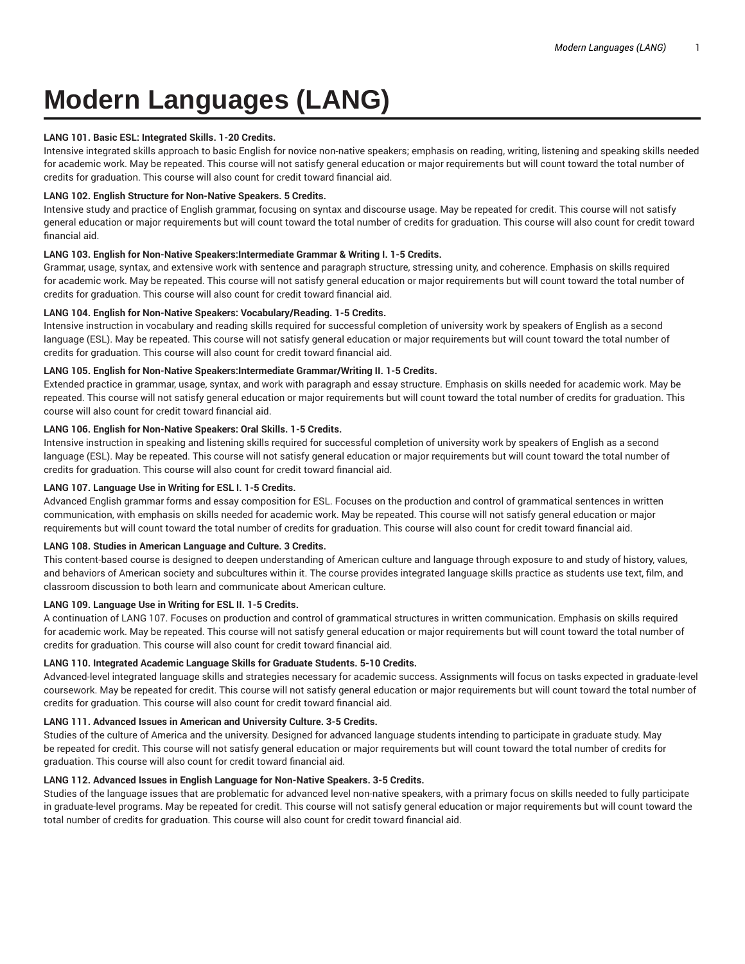# **Modern Languages (LANG)**

### **LANG 101. Basic ESL: Integrated Skills. 1-20 Credits.**

Intensive integrated skills approach to basic English for novice non-native speakers; emphasis on reading, writing, listening and speaking skills needed for academic work. May be repeated. This course will not satisfy general education or major requirements but will count toward the total number of credits for graduation. This course will also count for credit toward financial aid.

### **LANG 102. English Structure for Non-Native Speakers. 5 Credits.**

Intensive study and practice of English grammar, focusing on syntax and discourse usage. May be repeated for credit. This course will not satisfy general education or major requirements but will count toward the total number of credits for graduation. This course will also count for credit toward financial aid.

# **LANG 103. English for Non-Native Speakers:Intermediate Grammar & Writing I. 1-5 Credits.**

Grammar, usage, syntax, and extensive work with sentence and paragraph structure, stressing unity, and coherence. Emphasis on skills required for academic work. May be repeated. This course will not satisfy general education or major requirements but will count toward the total number of credits for graduation. This course will also count for credit toward financial aid.

# **LANG 104. English for Non-Native Speakers: Vocabulary/Reading. 1-5 Credits.**

Intensive instruction in vocabulary and reading skills required for successful completion of university work by speakers of English as a second language (ESL). May be repeated. This course will not satisfy general education or major requirements but will count toward the total number of credits for graduation. This course will also count for credit toward financial aid.

# **LANG 105. English for Non-Native Speakers:Intermediate Grammar/Writing II. 1-5 Credits.**

Extended practice in grammar, usage, syntax, and work with paragraph and essay structure. Emphasis on skills needed for academic work. May be repeated. This course will not satisfy general education or major requirements but will count toward the total number of credits for graduation. This course will also count for credit toward financial aid.

# **LANG 106. English for Non-Native Speakers: Oral Skills. 1-5 Credits.**

Intensive instruction in speaking and listening skills required for successful completion of university work by speakers of English as a second language (ESL). May be repeated. This course will not satisfy general education or major requirements but will count toward the total number of credits for graduation. This course will also count for credit toward financial aid.

### **LANG 107. Language Use in Writing for ESL I. 1-5 Credits.**

Advanced English grammar forms and essay composition for ESL. Focuses on the production and control of grammatical sentences in written communication, with emphasis on skills needed for academic work. May be repeated. This course will not satisfy general education or major requirements but will count toward the total number of credits for graduation. This course will also count for credit toward financial aid.

# **LANG 108. Studies in American Language and Culture. 3 Credits.**

This content-based course is designed to deepen understanding of American culture and language through exposure to and study of history, values, and behaviors of American society and subcultures within it. The course provides integrated language skills practice as students use text, film, and classroom discussion to both learn and communicate about American culture.

# **LANG 109. Language Use in Writing for ESL II. 1-5 Credits.**

A continuation of LANG 107. Focuses on production and control of grammatical structures in written communication. Emphasis on skills required for academic work. May be repeated. This course will not satisfy general education or major requirements but will count toward the total number of credits for graduation. This course will also count for credit toward financial aid.

# **LANG 110. Integrated Academic Language Skills for Graduate Students. 5-10 Credits.**

Advanced-level integrated language skills and strategies necessary for academic success. Assignments will focus on tasks expected in graduate-level coursework. May be repeated for credit. This course will not satisfy general education or major requirements but will count toward the total number of credits for graduation. This course will also count for credit toward financial aid.

#### **LANG 111. Advanced Issues in American and University Culture. 3-5 Credits.**

Studies of the culture of America and the university. Designed for advanced language students intending to participate in graduate study. May be repeated for credit. This course will not satisfy general education or major requirements but will count toward the total number of credits for graduation. This course will also count for credit toward financial aid.

# **LANG 112. Advanced Issues in English Language for Non-Native Speakers. 3-5 Credits.**

Studies of the language issues that are problematic for advanced level non-native speakers, with a primary focus on skills needed to fully participate in graduate-level programs. May be repeated for credit. This course will not satisfy general education or major requirements but will count toward the total number of credits for graduation. This course will also count for credit toward financial aid.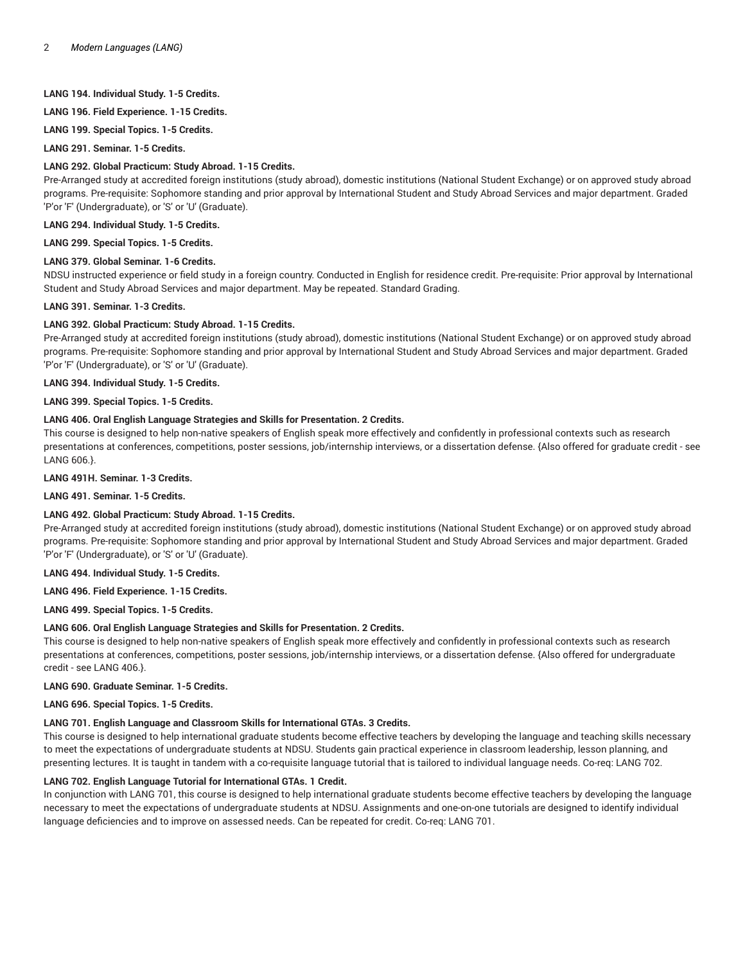# **LANG 194. Individual Study. 1-5 Credits.**

**LANG 196. Field Experience. 1-15 Credits.**

**LANG 199. Special Topics. 1-5 Credits.**

**LANG 291. Seminar. 1-5 Credits.**

#### **LANG 292. Global Practicum: Study Abroad. 1-15 Credits.**

Pre-Arranged study at accredited foreign institutions (study abroad), domestic institutions (National Student Exchange) or on approved study abroad programs. Pre-requisite: Sophomore standing and prior approval by International Student and Study Abroad Services and major department. Graded 'P'or 'F' (Undergraduate), or 'S' or 'U' (Graduate).

**LANG 294. Individual Study. 1-5 Credits.**

**LANG 299. Special Topics. 1-5 Credits.**

# **LANG 379. Global Seminar. 1-6 Credits.**

NDSU instructed experience or field study in a foreign country. Conducted in English for residence credit. Pre-requisite: Prior approval by International Student and Study Abroad Services and major department. May be repeated. Standard Grading.

#### **LANG 391. Seminar. 1-3 Credits.**

#### **LANG 392. Global Practicum: Study Abroad. 1-15 Credits.**

Pre-Arranged study at accredited foreign institutions (study abroad), domestic institutions (National Student Exchange) or on approved study abroad programs. Pre-requisite: Sophomore standing and prior approval by International Student and Study Abroad Services and major department. Graded 'P'or 'F' (Undergraduate), or 'S' or 'U' (Graduate).

**LANG 394. Individual Study. 1-5 Credits.**

**LANG 399. Special Topics. 1-5 Credits.**

#### **LANG 406. Oral English Language Strategies and Skills for Presentation. 2 Credits.**

This course is designed to help non-native speakers of English speak more effectively and confidently in professional contexts such as research presentations at conferences, competitions, poster sessions, job/internship interviews, or a dissertation defense. {Also offered for graduate credit - see LANG 606.}.

**LANG 491H. Seminar. 1-3 Credits.**

**LANG 491. Seminar. 1-5 Credits.**

# **LANG 492. Global Practicum: Study Abroad. 1-15 Credits.**

Pre-Arranged study at accredited foreign institutions (study abroad), domestic institutions (National Student Exchange) or on approved study abroad programs. Pre-requisite: Sophomore standing and prior approval by International Student and Study Abroad Services and major department. Graded 'P'or 'F' (Undergraduate), or 'S' or 'U' (Graduate).

# **LANG 494. Individual Study. 1-5 Credits.**

**LANG 496. Field Experience. 1-15 Credits.**

**LANG 499. Special Topics. 1-5 Credits.**

#### **LANG 606. Oral English Language Strategies and Skills for Presentation. 2 Credits.**

This course is designed to help non-native speakers of English speak more effectively and confidently in professional contexts such as research presentations at conferences, competitions, poster sessions, job/internship interviews, or a dissertation defense. {Also offered for undergraduate credit - see LANG 406.}.

#### **LANG 690. Graduate Seminar. 1-5 Credits.**

**LANG 696. Special Topics. 1-5 Credits.**

#### **LANG 701. English Language and Classroom Skills for International GTAs. 3 Credits.**

This course is designed to help international graduate students become effective teachers by developing the language and teaching skills necessary to meet the expectations of undergraduate students at NDSU. Students gain practical experience in classroom leadership, lesson planning, and presenting lectures. It is taught in tandem with a co-requisite language tutorial that is tailored to individual language needs. Co-req: LANG 702.

# **LANG 702. English Language Tutorial for International GTAs. 1 Credit.**

In conjunction with LANG 701, this course is designed to help international graduate students become effective teachers by developing the language necessary to meet the expectations of undergraduate students at NDSU. Assignments and one-on-one tutorials are designed to identify individual language deficiencies and to improve on assessed needs. Can be repeated for credit. Co-req: LANG 701.